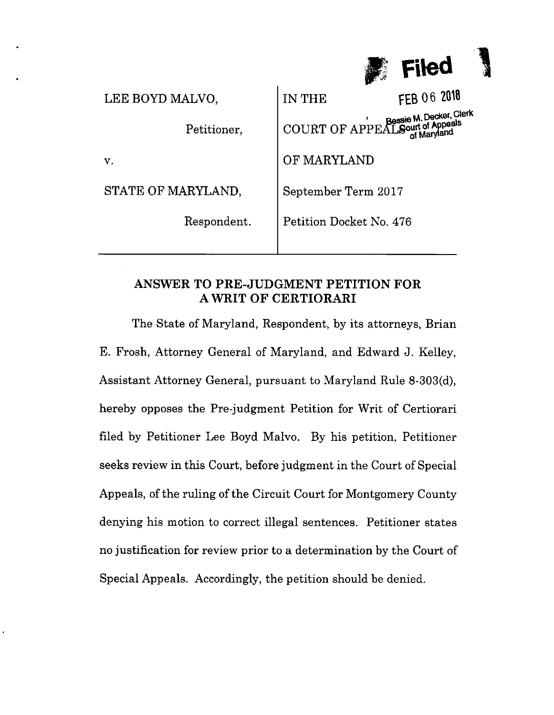

| LEE BOYD MALVO,    | FEB 06 2018<br>IN THE            |
|--------------------|----------------------------------|
| Petitioner,        | COURT OF APPEAL Sourt of Appeals |
| $\mathbf{v}$ .     | OF MARYLAND                      |
| STATE OF MARYLAND, | September Term 2017              |
| Respondent.        | Petition Docket No. 476          |
|                    |                                  |

# ANSWER TO PRE-JUDGMENT PETITION FOR AWRIT OF CERTIORARI

The State of Maryland, Respondent, by its attorneys, Brian E. Frosh, Attorney General of Maryland, and Edward J. Kelley, Assistant Attorney General, pursuant to Maryland Rule 8-303(d), hereby opposes the Pre-judgment Petition for Writ of Certiorari filed by Petitioner Lee Boyd Malvo. By his petition, Petitioner seeks review in this Court, before judgment in the Court of Special Appeals, 0f the ruling of the Circuit Court for Montgomery County denying his motion to correct illegal sentences. Petitioner states no justification for review prior to a determination by the Court of Special Appeals. Accordingly, the petition should be denied.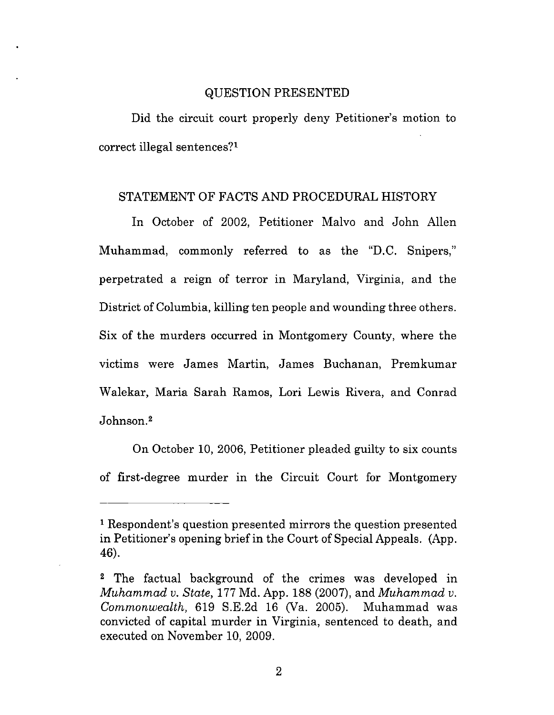#### QUESTION PRESENTED

Did the circuit court properly deny Petitioner's motion to correct illegal sentences?1

#### STATEMENT OF FACTS AND PROCEDURAL HISTORY

In October of 2002, Petitioner Malvo and John Allen Muhammad, commonly referred to as the "D.C. Snipers," perpetrated a reign of terror in Maryland, Virginia, and the District of Columbia, killing ten people and wounding three others. Six 0f the murders occurred in Montgomery County, where the victims were James Martin, James Buchanan, Premkumar Walekar, Maria Sarah Ramos, Lori Lewis Rivera, and Conrad Johnson?

On October 10, 2006, Petitioner pleaded guilty to six counts of first-degree murder in the Circuit Court for Montgomery

 $\overline{2}$ 

<sup>&</sup>lt;sup>1</sup> Respondent's question presented mirrors the question presented in Petitioner's opening brief in the Court of Special Appeals. (App. 46).

<sup>&</sup>lt;sup>2</sup> The factual background of the crimes was developed in Muhammad v. State, <sup>177</sup> Md. App. 188 (2007), and Muhammad v. Commonwealth, 619 S.E.2d <sup>16</sup> (Va. 2005). Muhammad was convicted 0f capital murder in Virginia, sentenced to death, and executed on November 10, 2009.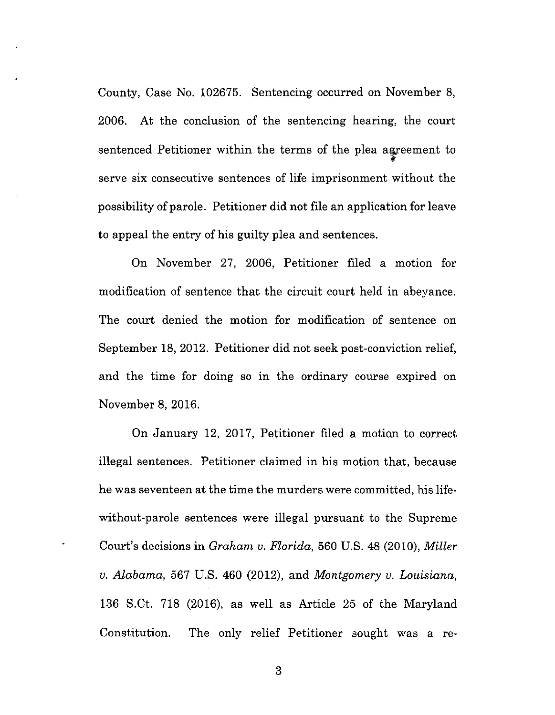County, Case No. 102675. Sentencing occurred on November 8, 2006. At the conclusion of the sentencing hearing, the court sentenced Petitioner within the terms of the plea agreement to serve six consecutive sentences of life imprisonment without the possibility of parole. Petitioner did not file an application for leave to appeal the entry of his guilty plea and sentences.

On November 27, 2006, Petitioner filed a motion for modification of sentence that the circuit court held in abeyance. The court denied the motion for modification of sentence on September 18, 2012. Petitioner did not seek post-conviction relief, and the time for doing so in the ordinary course expired on November 8, 2016.

On January 12, 2017, Petitioner filed a motion to correct illegal sentences. Petitioner claimed in his motion that, because he was seventeen at the time the murders were committed, his lifewithout-parole sentences were illegal pursuant to the Supreme Court's decisions in Graham v. Florida, 560 U.S. 48 (2010), Miller v. Alabama, 567 U.S. 460 (2012), and Montgomery v. Louisiana, 136 S.Ct. 718 (2016), as well as Article 25 of the Maryland Constitution. The only relief Petitioner sought was a re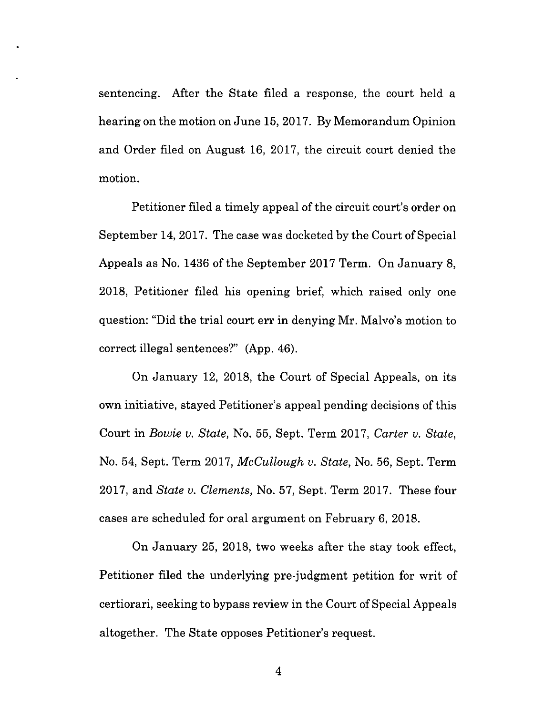sentencing. After the State filed a response, the court held a hearing on the motion on June 15, 2017. By Memorandum Opinion and Order filed on August 16, 2017, the circuit court denied the motion.

Petitioner filed a timely appeal of the circuit court's order on September 14, 2017. The case was docketed by the Court of Special Appeals as No. 1436 of the September 2017 Term. On January 8, 2018, Petitioner filed his opening brief, which raised only one question: "Did the trial court err in denying Mr. Malvo's motion to correct illegal sentences?" (App. 46).

On January 12, 2018, the Court of Special Appeals, on its own initiative, stayed Petitioner's appeal pending decisions 0f this Court in *Bowie v. State*, No. 55, Sept. Term 2017, Carter v. State, No. 54, Sept. Term 2017, McCullough v. State, No. 56, Sept. Term 2017, and State v. Clements, N0. 57, Sept. Term 2017. These four cases are scheduled for oral argument on February 6, 2018.

On January 25, 2018, two weeks after the stay took effect, Petitioner filed the underlying pre-judgment petition for writ of certiorari, seeking to bypass review in the Court of Special Appeals altogether. The State opposes Petitioner's request.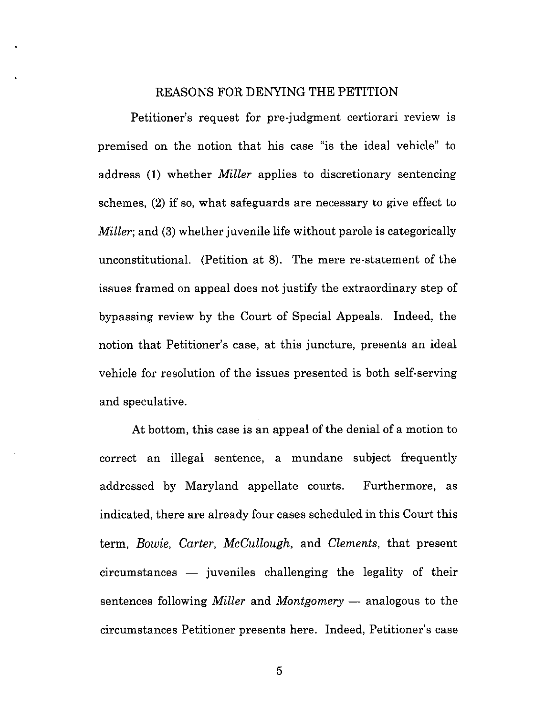## REASONS FOR DENYING THE PETITION

Petitioner's request for pre-judgment certiorari review is premised 0n the notion that his case "is the ideal vehicle" to address (1) whether *Miller* applies to discretionary sentencing schemes, (2) if so, what safeguards are necessary to give effect to *Miller*; and (3) whether juvenile life without parole is categorically unconstitutional. (Petition at 8). The mere re-statement of the issues framed on appeal does not justify the extraordinary step of bypassing review by the Court of Special Appeals. Indeed, the notion that Petitioner's case, at this juncture, presents an ideal vehicle for resolution of the issues presented is both self-serving and speculative.

At bottom, this case is an appeal of the denial of a motion to correct an illegal sentence, a mundane subject frequently addressed by Maryland appellate courts. Furthermore, as indicated, there are already four cases scheduled in this Court this term, Bowie, Carter, McCullough, and Clements, that present circumstances — juveniles challenging the legality of their sentences following *Miller* and *Montgomery* — analogous to the circumstances Petitioner presents here. Indeed, Petitioner's case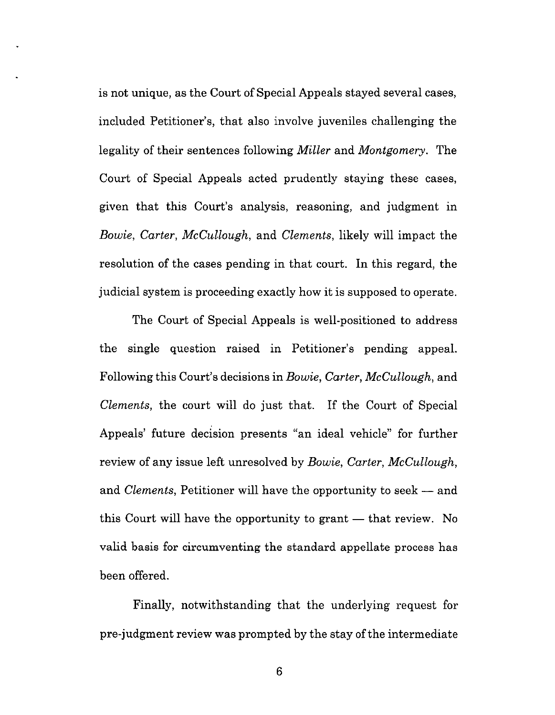is not unique, as the Court of Special Appeals stayed several cases, included Petitioner's, that also involve juveniles challenging the legality of their sentences following *Miller* and *Montgomery*. The Court of Special Appeals acted prudently staying these cases, given that this Court's analysis, reasoning, and judgment in Bowie, Carter, McCullough, and Clements, likely will impact the resolution of the cases pending in that court. In this regard, the judicial system is proceeding exactly how it is supposed to operate.

The Court of Special Appeals is well-positioned to address the single question raised in Petitioner's pending appeal. Following this Court's decisions in *Bowie, Carter, McCullough*, and Clements, the court will do just that. If the Court of Special Appeals' future decision presents "an ideal vehicle" for further review of any issue left unresolved by Bowie, Carter, McCullough, and *Clements*, Petitioner will have the opportunity to seek  $-$  and this Court will have the opportunity to grant — that review. No valid basis for circumventing the standard appellate process has been offered.

Finally, notwithstanding that the underlying request for pre-judgment review was prompted by the stay of the intermediate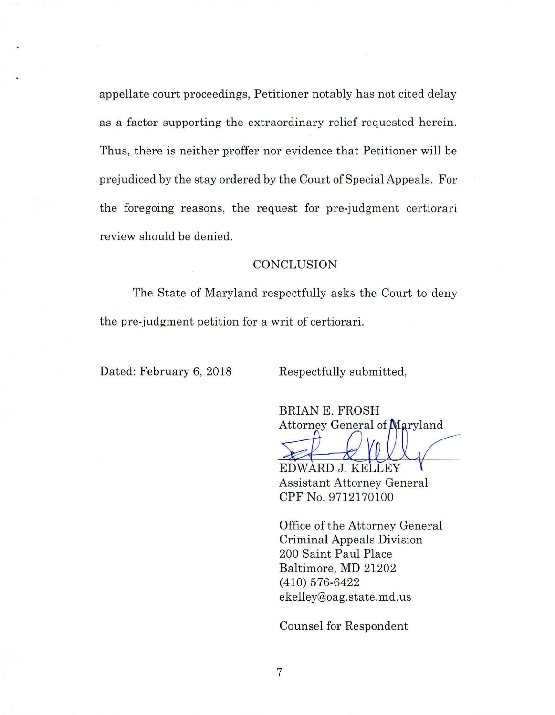appellate court proceedings, Petitioner notably has not cited delay as a factor supporting the extraordinary relief requested herein. Thus, there is neither proffer nor evidence that Petitioner will be prejudiced by the stay ordered by the Court of Special Appeals. For the foregoing reasons, the request for pre-judgment certiorari review should be denied.

## **CONCLUSION**

The State of Maryland respectfully asks the Court to deny the pre-judgment petition for a writ of certiorari.

Dated: February 6, 2018 Respectfully submitted,

BRIAN E. FROSH Attorney General of

EDWARD J. KELLEY Assistant Attorney General CPF No. 9712170100

Office of the Attorney General Criminal Appeals Division 200 Saint Paul Place Baltimore, MD <sup>21202</sup> (410) 576-6422 ekelley@oag.state.md.us

Counsel for Respondent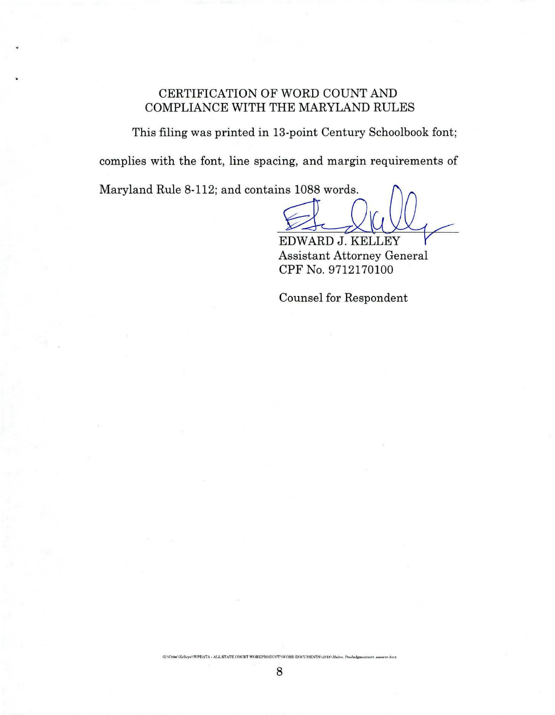## CERTIFICATION OF WORD COUNT AND COMPLIANCE WITH THE MARYLAND RULES

This filing was printed in 13-point Century Schoolbook font; complies with the font, line spacing, and margin requirements of

Maryland Rule 8-112; and contains 1088 words.

ms 1088 words.<br>EDWARD J. KELLEY

Assistant Attorney General CPF No. 9712170100

Counsel for Respondent

8